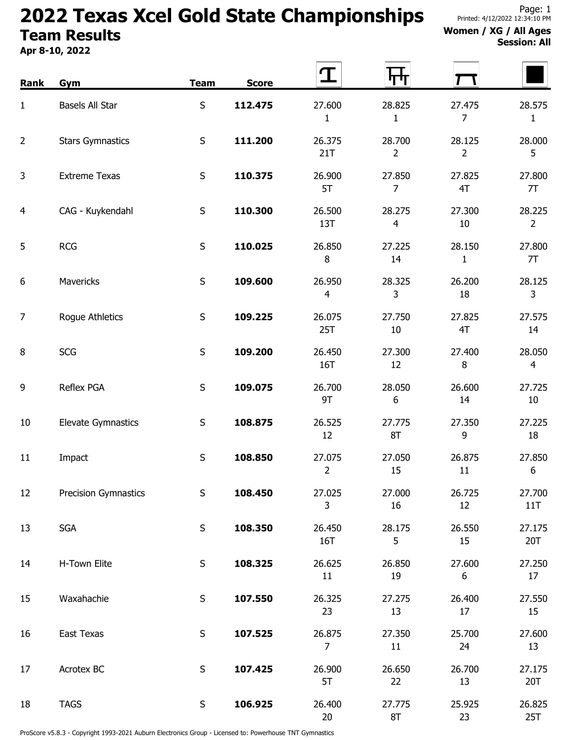## 2022 Texas Xcel Gold State Championships Team Results

Apr 8-10, 2022

## Women / XG / All Ages Session: All

| Rank           | <b>Gym</b>                  | <b>Team</b> | <b>Score</b> | T                        | पाग                      |                          |                          |
|----------------|-----------------------------|-------------|--------------|--------------------------|--------------------------|--------------------------|--------------------------|
| $\mathbf{1}$   | Basels All Star             | $\sf S$     | 112.475      | 27.600<br>$\mathbf{1}$   | 28.825<br>$\mathbf{1}$   | 27.475<br>$\overline{7}$ | 28.575<br>1              |
| $\overline{2}$ | <b>Stars Gymnastics</b>     | S           | 111.200      | 26.375<br>21T            | 28.700<br>$\overline{2}$ | 28.125<br>$\overline{2}$ | 28.000<br>5              |
| 3              | <b>Extreme Texas</b>        | $\sf S$     | 110.375      | 26.900<br>5T             | 27.850<br>$\overline{7}$ | 27.825<br>4T             | 27.800<br>7T             |
| 4              | CAG - Kuykendahl            | S           | 110.300      | 26.500<br>13T            | 28.275<br>$\overline{4}$ | 27.300<br>$10\,$         | 28.225<br>$\overline{2}$ |
| 5              | <b>RCG</b>                  | $\sf S$     | 110.025      | 26.850<br>8              | 27.225<br>14             | 28.150<br>$\mathbf{1}$   | 27.800<br>7T             |
| 6              | Mavericks                   | S           | 109.600      | 26.950<br>$\overline{4}$ | 28.325<br>3              | 26.200<br>18             | 28.125<br>3              |
| 7              | Rogue Athletics             | $\sf S$     | 109.225      | 26.075<br>25T            | 27.750<br>10             | 27.825<br>4T             | 27.575<br>14             |
| 8              | <b>SCG</b>                  | $\sf S$     | 109.200      | 26.450<br>16T            | 27.300<br>12             | 27.400<br>8              | 28.050<br>$\overline{4}$ |
| 9              | Reflex PGA                  | S           | 109.075      | 26.700<br>9T             | 28.050<br>6              | 26.600<br>14             | 27.725<br>10             |
| 10             | <b>Elevate Gymnastics</b>   | S           | 108.875      | 26.525<br>12             | 27.775<br>8T             | 27.350<br>9              | 27.225<br>18             |
| 11             | Impact                      | $\sf S$     | 108.850      | 27.075<br>$\overline{2}$ | 27.050<br>15             | 26.875<br>11             | 27.850<br>6              |
| 12             | <b>Precision Gymnastics</b> | S           | 108.450      | 27.025<br>$\mathsf{3}$   | 27.000<br>16             | 26.725<br>12             | 27.700<br>11T            |
| 13             | <b>SGA</b>                  | $\sf S$     | 108.350      | 26.450<br>16T            | 28.175<br>5              | 26.550<br>15             | 27.175<br>20T            |
| 14             | H-Town Elite                | $\sf S$     | 108.325      | 26.625<br>11             | 26.850<br>19             | 27.600<br>6              | 27.250<br>17             |
| 15             | Waxahachie                  | $\sf S$     | 107.550      | 26.325<br>23             | 27.275<br>13             | 26.400<br>17             | 27.550<br>15             |
| 16             | East Texas                  | $\sf S$     | 107.525      | 26.875<br>$\overline{7}$ | 27.350<br>11             | 25.700<br>24             | 27.600<br>13             |
| 17             | Acrotex BC                  | $\sf S$     | 107.425      | 26.900<br>5T             | 26.650<br>22             | 26.700<br>13             | 27.175<br>20T            |
| 18             | <b>TAGS</b>                 | S           | 106.925      | 26.400<br>20             | 27.775<br>8T             | 25.925<br>23             | 26.825<br>25T            |

ProScore v5.8.3 - Copyright 1993-2021 Auburn Electronics Group - Licensed to: Powerhouse TNT Gymnastics